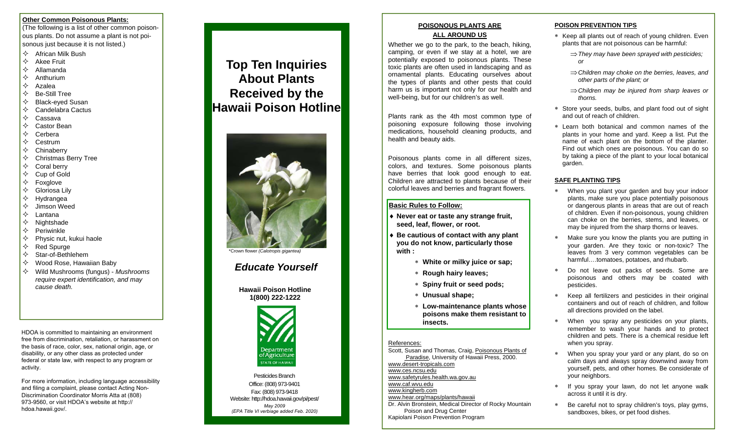#### **Other Common Poisonous Plants:**

(The following is a list of other common poisonous plants. Do not assume a plant is not poisonous just because it is not listed.)

- $\diamondsuit$  African Milk Bush
- $\Leftrightarrow$  Akee Fruit
- $\Leftrightarrow$  Allamanda
- $\Leftrightarrow$  Anthurium
- $\diamondsuit$  Azalea
- $\Leftrightarrow$  Be-Still Tree
- $\Leftrightarrow$  Black-eyed Susan
- $\Diamond$  Candelabra Cactus
- $\Leftrightarrow$  Cassava
- $\Leftrightarrow$  Castor Bean
- $\Leftrightarrow$  Cerbera
- $\Leftrightarrow$  Cestrum
- $\Leftrightarrow$  Chinaberry
- $\Leftrightarrow$  Christmas Berry Tree
- $\Leftrightarrow$  Coral berry
- $\Leftrightarrow$  Cup of Gold
- $\Leftrightarrow$  Foxglove
- Gloriosa Lily
- $\Leftrightarrow$  Hydrangea
- $\Leftrightarrow$  Jimson Weed
- $\Diamond$  Lantana
- $\Leftrightarrow$  Nightshade
- $\Leftrightarrow$  Periwinkle
- $\Diamond$  Physic nut, kukui haole
- $\Leftrightarrow$  Red Spurge
- $\Leftrightarrow$  Star-of-Bethlehem
- $\Diamond$  Wood Rose, Hawaiian Baby
- Wild Mushrooms (fungus) *Mushrooms require expert identification, and may cause death.*

HDOA is committed to maintaining an environment free from discrimination, retaliation, or harassment on the basis of race, color, sex, national origin, age, or disability, or any other class as protected under federal or state law, with respect to any program or activity.

For more information, including language accessibility and filing a complaint, please contact Acting Non-Discrimination Coordinator Morris Atta at (808) 973-9560, or visit HDOA's website at http://hdoa.hawaii.gov/.

## **Top Ten Inquiries About Plants Received by the Hawaii Poison Hotline**



\*Crown flower *(Calotropis gigantea)*

### *Educate Yourself*

**Hawaii Poison Hotline1(800) 222-1222** 



Pesticides Branch Office:(808) 973-9401 Fax: (808) 973-9418 Website: http://hdoa.hawaii.gov/pi/pest/ *May 2009(EPA Title VI verbiage added Feb. 2020)*

#### **POISONOUS PLANTS ARE ALL AROUND US**

Whether we go to the park, to the beach, hiking, camping, or even if we stay at a hotel, we are potentially exposed to poisonous plants. These toxic plants are often used in landscaping and as ornamental plants. Educating ourselves about the types of plants and other pests that could harm us is important not only for our health and well-being, but for our children's as well.

Plants rank as the 4th most common type of poisoning exposure following those involving medications, household cleaning products, and health and beauty aids.

Poisonous plants come in all different sizes, colors, and textures. Some poisonous plants have berries that look good enough to eat. Children are attracted to plants because of their colorful leaves and berries and fragrant flowers.

#### **Basic Rules to Follow:**

- **Never eat or taste any strange fruit, seed, leaf, flower, or root.**
- **Be cautious of contact with any plant you do not know, particularly those with :** 
	- **White or milky juice or sap;**
	- **Rough hairy leaves;**
	- **Spiny fruit or seed pods;**
	- **Unusual shape;**
	- **Low-maintenance plants whose poisons make them resistant to insects.**

#### References:

Scott, Susan and Thomas, Craig, Poisonous Plants of Paradise, University of Hawaii Press, 2000. www.desert-tropicals.com www.ces.ncsu.edu www.safetyrules.health.wa.gov.au www.caf.wvu.edu www.kingherb.com www.hear.org/maps/plants/hawaii Dr. Alvin Bronstein, Medical Director of Rocky Mountain Poison and Drug Center Kapiolani Poison Prevention Program

#### **POISON PREVENTION TIPS**

- \* Keep all plants out of reach of young children. Even plants that are not poisonous can be harmful:
	- *They may have been sprayed with pesticides; or*
	- *Children may choke on the berries, leaves, and other parts of the plant; or*
	- *Children may be injured from sharp leaves or thorns.*
- Store your seeds, bulbs, and plant food out of sight and out of reach of children.
- Learn both botanical and common names of the plants in your home and yard. Keep a list. Put the name of each plant on the bottom of the planter. Find out which ones are poisonous. You can do so by taking a piece of the plant to your local botanical garden.

#### **SAFE PLANTING TIPS**

- When you plant your garden and buy your indoor plants, make sure you place potentially poisonous or dangerous plants in areas that are out of reach of children. Even if non-poisonous, young children can choke on the berries, stems, and leaves, or may be injured from the sharp thorns or leaves.
- \*. Make sure you know the plants you are putting in your garden. Are they toxic or non-toxic? The leaves from 3 very common vegetables can be harmful….tomatoes, potatoes, and rhubarb.
- \*. Do not leave out packs of seeds. Some are poisonous and others may be coated with pesticides.
- \*. Keep all fertilizers and pesticides in their original containers and out of reach of children, and follow all directions provided on the label.
- \*. When you spray any pesticides on your plants, remember to wash your hands and to protect children and pets. There is a chemical residue left when you spray.
- \*. When you spray your yard or any plant, do so on calm days and always spray downwind away from yourself, pets, and other homes. Be considerate of your neighbors.
- \*. If you spray your lawn, do not let anyone walk across it until it is dry.
- Be careful not to spray children's toys, play gyms, sandboxes, bikes, or pet food dishes.